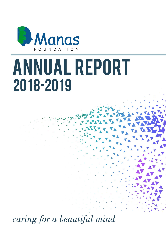

# **ANNUAL REPORT** 2018-2019

caring for a beautiful mind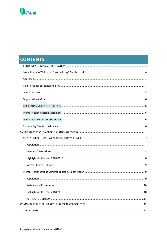

## **CONTENTS**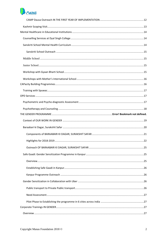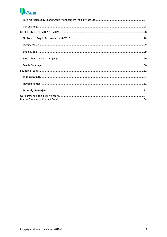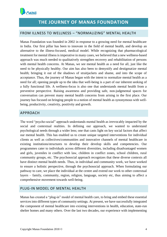<span id="page-4-0"></span>

## **THE JOURNEY OF MANAS FOUNDATION**

#### <span id="page-4-1"></span>FROM ILLNESS TO WELLNESS – "NORMALIZING" MENTAL HEALTH

Manas Foundation was founded in 2002 in response to a growing need for mental healthcare in India. Our first pillar has been to innovate in the field of mental health, and develop an alternative to the illness-focused, medical model. While recognizing that pharmacological treatment for mental illness is imperative in many cases, we believed that a new wellness-based approach was much needed to qualitatively strengthen recovery and rehabilitation of persons with mental health concerns. At Manas, we see mental health as a need for all, just like the need to be physically healthy. Our aim has also been to demystify and destigmatize mental health; bringing it out of the shadows of straitjackets and shame, and into the scope of acceptance. Thus, the journey of Manas began with the intent to normalize mental health as a need for all; opening people up to the idea that well-being is a part of our inherent seeking of a fully functional life. A wellness-focus is also one that understands mental health from a preventive perspective. Raising awareness and providing safe, non-judgmental spaces for conversation can prevent many mental health concerns from arising in the first place. Our journey has focused on bringing people to a notion of mental health as synonymous with wellbeing, productivity, creativity, positivity and growth.

#### <span id="page-4-2"></span>APPROACH

The word "psycho-social" approach understands mental health as irrevocably impacted by the social and contextual realities. In defining our approach, we wanted to understand psychological needs through a wider lens; one that casts light on key social factors that affect our mental health. This has enabled us to create unique targeted interventions for individual clients as well as collectives/communities and innovative channels of mental healthcare in existing institutions/structures to develop their develop skills and competencies. Our programmes cater to individuals across different diversities, including disadvantaged women and girls, juveniles in conflict with law, children in conflict zones, school children, rural community groups, etc. The psychosocial approach recognizes that these diverse contexts all have distinct mental health needs. Thus, in individual and community work, we have worked to ensure a holistic perspective, through the psychosocial approach. When formulating our pathway to care, we place the individual at the centre and extend our work to other contextual layers – family, community, region, religion, language, society etc, thus aiming to affect a comprehensive movement towards well-being.

#### <span id="page-4-3"></span>PLUG-IN MODEL OF MENTAL HEALTH

Manas has created a "plug-in" model of mental health care, to bring and embed these essential services into different types of community settings. At present, we have successfully integrated the component of mental healthcare into existing interventions in health, education, state-run shelter homes and many others. Over the last two decades, our experience with implementing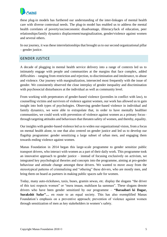

these plug-in models has furthered our understanding of the inter-linkages of mental health care with diverse contextual needs. The plug-in model has enabled us to address the mental health correlates of poverty/socioeconomic disadvantage, illiteracy/lack of education, peer relationships/family dynamics displacement/marginalization, gender/violence against women and several others.

In our journey, it was these interrelationships that brought us to our second organizational pillar – gender justice.

#### <span id="page-5-0"></span>GENDER JUSTICE

A decade of plugging in mental health service delivery into a range of contexts led us to intimately engage with people and communities at the margins that face complex, added difficulties – ranging from restriction and rejection, to discrimination and intolerance, to abuse and violence. Our journey with marginalization, intersected most frequently with the issue of gender. We consistently observed the close interplay of gender inequality and discrimination with psychosocial disturbances at the individual as well as community level.

From working with perpetrators of gender-based violence (juveniles in conflict with law), to counselling victims and survivors of violence against women, our work has allowed us to gain insight into both types of psychologies. Observing gender-based violence in individual and family dynamics, we were able to extrapolate that, in order to have mentally healthier communities, we could work with prevention of violence against women as a primary focus– through targeting attitudes and behaviours that threaten safety of women, and thereby, equality.

Our insights with gender-based violence led us to widen our organizational vision, from a focus on mental health alone, to one that also centred on gender justice and led us to develop our flagship programme: gender sensitizing a large subset of urban men, and engaging them towards ending violence against women.

Manas Foundation in 2014 began this large-scale programme to gender sensitize public transport drivers, who interact with women as a part of their daily work. This programme took an innovative approach to gender justice – instead of focusing exclusively on activism, we integrated key psychological theories and concepts into the programme, aiming at pro-gender behaviour and attitude change amongst these drivers. We wanted to move away from the stereotypical patterns of criminalizing and "othering" these drivers, who are mostly men, and bring them on board as partners in making public spaces safe for women.

Today, many auto-rickshaws, taxis, buses, gramin sewas, etc. display the slogans "the driver of this taxi respects women" or "mera imaan, mahilaon ka samman". These slogans denote drivers who have been gender sensitized by our programme – **"Baraabari ki Dagar,**  Surakshit Safar"... en route to an equal society. This has also exemplified Manas Foundation's emphasis on a preventive approach; prevention of violence against women through sensitization of men as key stakeholders in women's safety.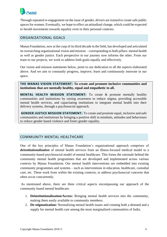

Through repeated re-engagement on the issue of gender, drivers are trained to create safe public spaces for women. Eventually, we hope to effect an attitudinal change, which could be expected to herald movements towards equality even in their personal contexts.

#### <span id="page-6-0"></span>ORGANIZATIONAL GOALS

Manas Foundation, now at the cusp of its third decade in the field, has developed and articulated its overarching organizational vision and mission – corresponding to both pillars: mental health as well as gender justice. Each perspective in our journey now informs the other. From our team to our projects, we work to address both goals equally and effectively.

Our vision and mission statements below, point to our dedication to all the aspects elaborated above. And we aim to constantly progress, improve, learn and continuously innovate in our space.

<span id="page-6-1"></span>**THE MANAS VISION STATEMENT: To create and promote inclusive communities and institutions that are mentally healthy, equal and empathetic to all.**

<span id="page-6-2"></span>**MENTAL HEALTH MISSION STATEMENT:** To create & promote mentally healthy communities and institutions by raising awareness to reduce stigma, providing accessible mental health services, and capacitating institutions to integrate mental health into their delivery systems, through a psychosocial approach.

<span id="page-6-3"></span>**GENDER JUSTICE MISSION STATEMENT:** To create and promote equal, inclusive and safe communities and institutions by bringing a positive shift in mindsets, attitudes and behaviours to reduce gender based violence and foster gender equality.

### <span id="page-6-4"></span>COMMUNITY MENTAL HEALTHCARE

One of the key principles of Manas Foundation's organizational approach comprises of *deinstitutionalization* of mental health services from an illness-focused medical model to a community-based psychosocial model of mental healthcare. This forms the rationale behind the community mental health programmes that are developed and implemented across various contexts by Manas Foundation. Our mental health interventions are embedded into existing community programmes and systems – such as interventions in education, healthcare, custodial care, etc. These work from within the existing contexts, to address psychosocial concerns that often occur concurrently.

As mentioned above, there are three critical aspects encompassing our approach of the community based mental healthcare:

- 1. **Deinstitutionalization/Access:** Bringing mental health services into the community, making them easily available to community members.
- 2. **De-stigmatization:** Normalizing mental health issues and creating both a demand and a supply for mental health care among the most marginalized communities of India.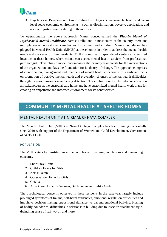

3. **Psychosocial Perspective:** Demonstrating the linkages between mental health and macro level socio-economic environments – such as discrimination, poverty, deprivation, and access to justice – and catering to them as such.

To operationalize the above approach, Manas conceptualized the *Plug-In Model of Psychosocial Mental Healthcare*. Across Delhi, and in most states of the country, there are multiple state-run custodial care homes for women and children. Manas Foundation has plugged in Mental Health Units (MHUs) at these homes in order to address the mental health needs and concerns of their residents. MHUs comprise of specialized centers at identified locations at these homes, where clients can access mental health services from professional psychologists. This plug-in model encompasses the primary framework for the interventions of the organization, and lays the foundation for its theory of change. The approach comprises of identification, management and treatment of mental health concerns with significant focus on promotion of positive mental health and prevention of onset of mental health difficulties through increased awareness and early detection. These plug in units take into consideration all stakeholders at the custodial care home and have customized mental health work plans for creating an empathetic and informed environment for its beneficiaries.

## <span id="page-7-0"></span>**COMMUNITY MENTAL HEALTH AT SHELTER HOMES**

#### <span id="page-7-1"></span>MENTAL HEALTH UNIT AT NIRMAL CHHAYA COMPLEX

The Mental Health Unit (MHU) at Nirmal Chhaya Complex has been running successfully since 2010 with support of the Department of Women and Child Development, Government of NCT of Delhi.

#### <span id="page-7-2"></span>POPULATION

The MHU caters to 8 institutions at the complex with varying populations and demanding concerns.

- 1. Short Stay Home
- 2. Children Home for Girls
- 3. Nari Niketan
- 4. Observation Home for Girls
- 5. CHG 3
- 6. After Care Home for Women, Bal Niketan and Balika Greh

The psychological concerns observed in these residents in the past year largely include prolonged symptoms of trauma, self-harm tendencies, emotional regulation difficulties and impulsive decision making, oppositional defiance, verbal and emotional bullying, blurring of bodily boundaries, difficulties in relationship building due to insecure attachment style, dwindling sense of self-worth, and more.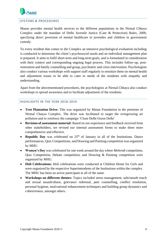

#### <span id="page-8-0"></span>SYSTEMS & PROCEDURES

Manas provides mental health services to the different populations in the Nirmal Chhaya Complex under the mandate of Delhi Juvenile Justice (Care & Protection) Rules, 2009, specifying direct provision of mental healthcare to juveniles and children in government custody.

To every resident that comes to the Complex an intensive psychological evaluation including is conducted to determine the client's psychosocial needs and an individual management plan is prepared. It aims to fulfil short-term and long-term goals, and is formulated in consideration with their context and corresponding ongoing legal process. This includes follow-up, postrestoration and family counselling and group, psychiatric and crisis intervention. Psychologists also conduct various workshops with support staff regularly to sensitize them on mental health and adjustment issues to be able to cater to needs of the residents with empathy and understanding.

Apart from the abovementioned procedures, the psychologists at Nirmal Chhaya also conduct workshops to spread awareness and to facilitate adjustment of the residents.

#### <span id="page-8-1"></span>HIGHLIGHTS IN THE YEAR 2018-2019

- **Tree Plantation Drive:** This was organized by Manas Foundation in the premises of Nirmal Chaaya Complex. The drive was facilitated to target the overgrowing air pollution and to reinforce the campaign 'Clean Delhi Green Delhi'
- **Revision of assessment material:** Based on our experience and feedback received from other stakeholders, we revised our internal assessment forms to make them more comprehensive and effective.
- **Republic Day** was celebrated on 25<sup>th</sup> of January in all of the Institutions. Dance performances, Quiz Competitions, and Drawing and Painting competition was organized by MHU.
- **Women's Day** was celebrated for one week around the day where *Mehendi* competition, Quiz Competition, Debate competition, and Drawing & Painting competition were organized by MHU.
- **Holi Celebrations:** Holi celebrations were conducted at Children Home for Girls and were organized by the respective Superintendents of the Institutions within the complex. The MHU has been an active participant in all of the same.
- **Workshops on different themes:** Topics included stress management, safe/unsafe touch and sexual assault/abuse, grievance redressal, peer counselling, conflict resolution, personal hygiene, motivational enhancement techniques and building group dynamics and cohesiveness, amongst others.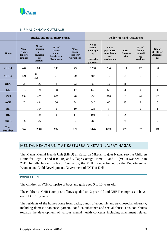

|                               |                                                                                                                                                                                                                                    |           | <u>ITITIVIAL CHIIATA OUTITLACH</u>                                        |                                                           |                                          |                                                 |                                                |                          |                          |
|-------------------------------|------------------------------------------------------------------------------------------------------------------------------------------------------------------------------------------------------------------------------------|-----------|---------------------------------------------------------------------------|-----------------------------------------------------------|------------------------------------------|-------------------------------------------------|------------------------------------------------|--------------------------|--------------------------|
|                               |                                                                                                                                                                                                                                    |           | <b>Intakes and Initial Interventions</b>                                  |                                                           | <b>Follow-ups and Assessments</b>        |                                                 |                                                |                          |                          |
| Home                          | No. of<br>No. of<br>individu<br>No. of<br>No. of<br>clients<br>al<br>clients<br>group<br>under<br>sessions/<br>for new<br>counselli<br>Psychiatric<br><b>intakes</b><br>workshops<br>$\mathbf{ng}$<br><b>Treatment</b><br>sessions |           | No. of<br>clients<br>undergoi<br>$\mathbf{ng}$<br>counselin<br>g sessions | No. of<br>psychiatric<br>consultatio<br>ns/<br>medication | <b>Crisis</b><br><b>Interven</b><br>tion | No. of<br>family<br>counselli<br>ng<br>sessions | No. of<br>clients for<br><b>Assessme</b><br>nt |                          |                          |
| CHG1                          | 444                                                                                                                                                                                                                                | 843       | 141                                                                       | 43                                                        | 1250                                     | 234                                             | 311                                            | 12                       | 30                       |
| CHG <sub>2</sub>              | 121                                                                                                                                                                                                                                | 32<br>325 | 21                                                                        | 20                                                        | 483                                      | 19                                              | 55                                             | 5                        | 9                        |
| <b>OHG</b>                    | 25                                                                                                                                                                                                                                 | 56        | 3                                                                         | 23                                                        | 99                                       | 12                                              | 8                                              | $\overline{\phantom{a}}$ | $\overline{\phantom{a}}$ |
| <b>NN</b>                     | 63                                                                                                                                                                                                                                 | 124       | 68                                                                        | 17                                                        | 146                                      | 68                                              | $\mathfrak{Z}$                                 | 4                        | 1                        |
| <b>SSH</b>                    | 199                                                                                                                                                                                                                                | 475       | 636                                                                       | 28                                                        | 496                                      | 818                                             | 63                                             | 24                       | 22                       |
| <b>ACH</b>                    | 7                                                                                                                                                                                                                                  | 434       | 56                                                                        | 24                                                        | 540                                      | 60                                              | 13                                             | 3                        | 6                        |
| <b>BN</b>                     | L.                                                                                                                                                                                                                                 | 164       | $\overline{2}$                                                            | 10                                                        | 223                                      | 8                                               | $\mathbf{r}$                                   | $\overline{2}$           | $\mathbf{1}$             |
| <b>BG</b>                     | $\overline{a}$                                                                                                                                                                                                                     | 134       | 4                                                                         | 11                                                        | 194                                      | 6                                               | $\overline{2}$                                 | $\overline{\phantom{a}}$ | $\overline{\phantom{a}}$ |
| <b>CWC</b>                    | 98                                                                                                                                                                                                                                 | 25        | 6                                                                         | $\sim$                                                    | 44                                       | 3                                               | 30                                             | $\overline{7}$           | $\overline{a}$           |
| <b>Total</b><br><b>Number</b> | 957                                                                                                                                                                                                                                | 2580      | 937                                                                       | 176                                                       | 3475                                     | 1228                                            | 475                                            | 57                       | 69                       |

#### <span id="page-9-0"></span>NIRMAL CHHAYA OUTREACH

#### <span id="page-9-1"></span>MENTAL HEALTH UNIT AT KASTURBA NIKETAN, LAJPAT NAGAR

The Manas Mental Health Unit (MHU) at Kasturba Niketan, Lajpat Nagar, serving Children Home for Boys – I and II (CHB) and Village Cottage Home – I and III (VCH) was set up in 2011. Initially funded by Ford Foundation, the MHU is now funded by the Department of Women and Child Development, Government of NCT of Delhi.

#### <span id="page-9-2"></span>POPULATION

The children at VCH comprise of boys and girls aged 5 to 10 years old.

The children at CHB I comprise of boys aged10 to 12-year-old and CHB II comprises of boys aged 13 to 18 year old.

The residents of the homes come from backgrounds of economic and psychosocial adversity, including domestic violence, parental conflict, substance and sexual abuse. This contributes towards the development of various mental health concerns including attachment related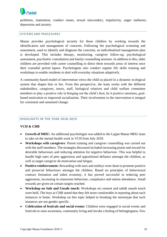

problems, inattention, conduct issues, sexual misconduct, impulsivity, anger outbursts, depression and anxiety.

#### <span id="page-10-0"></span>SYSTEMS AND PROCEDURES

Manas provides psychological security for these children by working towards the identification and management of concerns. Following the psychological screening and assessment, used to identify and diagnose the concerns, an individualized management plan is developed. This includes therapy, monitoring, caregiver follow-up, psychological assessment, psychiatric consultation and family counselling sessions. In addition to this, older children are provided with career counselling to direct them towards areas of interest once their custodial period lapses. Psychologists also conduct regular life skills training and workshops to enable residents to deal with everyday situations adaptively.

A community-based model of intervention views the child as placed in a dynamic ecological system that shapes him or her. From this perspective, the team works with the different stakeholders, caregivers, tutors, staff, biological relatives and child welfare committee members to play a positive role in bringing out the child's best, be it positive emotions, goalbased motivation or improved socialization. Their involvement in the intervention is integral for consistent and sustained change.

#### <span id="page-10-1"></span>HIGHLIGHTS IN THE YEAR 2018-2019

#### **VCH & CHB**

- **Growth of MHU:** An additional psychologist was added to the Lajpat Manas MHU team to take on the mental health work in VCH from July 2018.
- **Workshops with caregivers**: Parent training and caregiver counselling was carried out with the staff members. The strategies discussed included increasing praise and reward for desirable behaviours and reducing attention for negative behaviour. This was helpful to handle high rates of peer aggression and oppositional defiance amongst the children, as well as target caregiver de-motivation and fatigue.
- **Positive reinforcement:** Rewarding with stars and smileys were done to promote positive and prosocial behaviours amongst the children. Based on principles of behavioural contract formation and token economy, it has proved successful in reducing peer aggression, increasing in-classroom behaviour, compliance and tuition attendance. Small rewards are given on certain targets reached.
- **Workshop on Safe and Unsafe touch:** Workshops on consent and safe& unsafe touch were held. The boys at CHB stated that they felt more comfortable in reporting about such instances in home. Workshop on this topic helped in breaking the stereotype that such instances are not gender specific.
- **Celebration of festivals and social events:** Children were engaged in social events and festivals to raise awareness, community living and invoke a feeling of belongingness. Few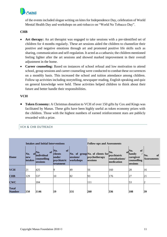

of the events included slogan writing on kites for Independence Day, celebration of World Mental Health Day and workshops on anti-tobacco on "World No Tobacco Day".

#### **CHB**

- **Art therapy:** An art therapist was engaged to take sessions with a pre-identified set of children for 4 months regularly. These art sessions aided the children to channelize their positive and negative emotions through art and promoted positive life skills such as sharing, communication and self-regulation. It acted as a catharsis; the children mentioned feeling lighter after the art sessions and showed marked improvement in their overall adjustment in the home.
- **Career counseling:** Based on instances of school refusal and low motivation to attend school, group sessions and career counseling were conducted to combat these occurrences on a monthly basis. This increased the school and tuition attendance among children. Follow up activities including storytelling, newspaper reading, English speaking and quiz on general knowledge were held. These activities helped children to think about their future and better handle their responsibilities.

#### **VCH**

• **Token Economy:** A Christmas donation to VCH of over 150 gifts by Cox and Kings was facilitated by Manas. These gifts have been highly useful as token economy prizes with the children. Those with the highest numbers of earned reinforcement stars are publicly rewarded with a prize.

#### <span id="page-11-0"></span>VCH & CHB OUTREACH

| <b>Intakes and Initial Interventions</b> |                                                |                                                    |                                                                                |                        | <b>Follow-ups and Assessments</b>                            |                                                    |                                                                           |                                            |
|------------------------------------------|------------------------------------------------|----------------------------------------------------|--------------------------------------------------------------------------------|------------------------|--------------------------------------------------------------|----------------------------------------------------|---------------------------------------------------------------------------|--------------------------------------------|
| <b>Home</b>                              | No.<br><sup>ot</sup><br>new<br><b>lintakes</b> | of<br>No.<br>individual<br>counselling<br>sessions | of<br>No.<br><b>clients</b><br><b>under</b><br>psychiatric<br><b>treatment</b> | sessions/<br>workshops | No. of group No. of clients for<br>psychotherapy<br>sessions | No.<br>psychiatric<br>consultations/<br>medication | of<br>No.<br>of <sub>family</sub><br>caregiver<br>counselling<br>sessions | No.<br><sub>of</sub><br><b>Assessments</b> |
| <b>VCH</b>                               | 21                                             | 425                                                |                                                                                | 49                     | 56                                                           | 160                                                | 28                                                                        | 16                                         |
| <b>CHB</b>                               | 129                                            | 537                                                | 10                                                                             | 82                     | 93                                                           | 176                                                | 27                                                                        | 21                                         |
| <b>CWC</b>                               |                                                | 184                                                |                                                                                |                        | 111                                                          |                                                    | 53                                                                        |                                            |
| <b>Total</b><br><b>Number</b>            | 150                                            | 1146                                               | 19                                                                             | 131                    | 260                                                          | 336                                                | 108                                                                       | 39                                         |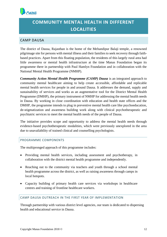<span id="page-12-0"></span>

## **COMMUNITY MENTAL HEALTH IN DIFFERENT LOCALITIES**

#### <span id="page-12-1"></span>CAMP DAUSA

<span id="page-12-2"></span>The district of Dausa, Rajasthan is the home of the Mehandipur Balaji temple, a renowned pilgrimage site for persons with mental illness and their families to seek recovery through faithbased practices. Apart from this floating population, the residents of this largely rural area had little awareness or mental health infrastructure at the time Manas Foundation began its programme there in partnership with Paul Hamlyn Foundation and in collaboration with the National Mental Health Programme (NMHP).

*Community Action Mental Health Programme (CAMP) Dausa* is an integrated approach to community mental healthcare aiming to help create accessible, affordable and replicable mental health services for people in and around Dausa. It addresses the demand, supply and sustainability of services and works as an augmentative tool for the District Mental Health Programme (DMHP), the primary instrument of NMHP for addressing the mental health needs in Dausa. By working in close coordination with education and health state offices and the DMHP, the programme intends to plug in preventive mental health care like psychoeducation, de-stigmatization and awareness building work along with clinical psychotherapeutic and psychiatric services to meet the mental health needs of the people of Dausa.

The initiative provides scope and opportunity to address the mental health needs through evidence-based psychotherapeutic modalities, which were previously unexplored in the area due to unavailability of trained clinical and counselling psychologists.

#### PROGRAMME COMPONENTS

The multipronged approach of this programme includes:

- Providing mental health services, including assessment and psychotherapy, in collaboration with the district mental health programme and independently.
- Reaching out to the community via teachers and youth through a school mental health programme across the district, as well as raising awareness through camps in local hotspots.
- Capacity building of primary health care services via workshops in healthcare centres and training of frontline healthcare workers.

#### CAMP DAUSA OUTREACH IN THE FIRST YEAR OF IMPLEMENTATION

Through partnership with various district level agencies, our team is dedicated to dispersing health and educational service in Dausa.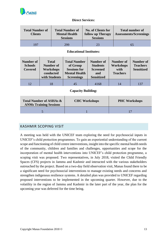

#### **Direct Services:**

| <b>Total Number of</b><br><b>Clients</b> | <b>Total Number of</b><br><b>Mental Health</b><br><b>Sessions</b> | <b>No. of Clients for</b><br>follow up Therapy<br><b>Sessions</b> | <b>Total number of</b><br><b>Assessments/Screenings</b> |
|------------------------------------------|-------------------------------------------------------------------|-------------------------------------------------------------------|---------------------------------------------------------|
| 197                                      | 299                                                               | 23                                                                | ნ.                                                      |

#### **Educational Institutes:**

| Number of<br><b>Schools</b><br>Covered | <b>Total</b><br>Number of<br><b>Workshops</b><br>conducted<br>with Students | <b>Total Number</b><br>of Group<br><b>Sessions for</b><br><b>Mental Health</b><br><b>Screenings</b> | Number of<br><b>Students</b><br><b>Screened</b><br>and<br><b>Sensitized</b> | Number of<br>Workshops<br>with<br><b>Teachers</b> | Number of<br><b>Teachers</b><br><b>Sensitized</b> |
|----------------------------------------|-----------------------------------------------------------------------------|-----------------------------------------------------------------------------------------------------|-----------------------------------------------------------------------------|---------------------------------------------------|---------------------------------------------------|
|                                        |                                                                             | 45                                                                                                  | 4168                                                                        | 14                                                | 137                                               |

#### **Capacity Building:**

| <b>Total Number of ASHAs &amp;</b><br><b>ANMs Training Sessions</b> | <b>CHC Workshops</b> | <b>PHC Workshops</b> |
|---------------------------------------------------------------------|----------------------|----------------------|
|                                                                     |                      |                      |

### <span id="page-13-0"></span>KASHMIR SCOPING VISIT

A meeting was held with the UNICEF team exploring the need for psychosocial inputs in UNICEF's child protection programmes. To gain an experiential understanding of the current scope and functioning of child centre interventions, insight into the specific mental health needs of the community, children and families and challenges, opportunities and scope for the incorporation of mental health interventions into UNICEF's child protection programme, a scoping visit was proposed. Two representatives, in July 2018, visited the Child Friendly Spaces (CFS) projects in Jammu and Kashmir and interacted with the various stakeholders outreached by the project. Based on a two-day field observation visit, Manas found there to be a significant need for psychosocial interventions to manage existing needs and concerns and strengthen indigenous resilience systems. A detailed plan was provided to UNICEF regarding proposed interventions to be implemented in the upcoming quarter. However, due to the volatility in the region of Jammu and Kashmir in the later part of the year, the plan for the upcoming year was deferred for the time being.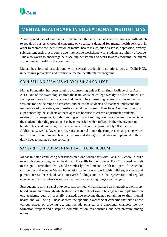

## <span id="page-14-0"></span>**MENTAL HEALTHCARE IN EDUCATIONAL INSTITUTIONS**

A widespread lack of awareness of mental health leads to an absence of language with which to speak of our psychosocial concerns, or vocalize a demand for mental health services. In order to promote the identification of mental health issues, such as stress, depression, anxiety, suicidal tendencies, at a young age, interactive workshops with students are highly effective. This also works to encourage help seeking behaviour and work towards reducing the stigma around mental health in the community.

Manas has formed associations with several academic institutions across Delhi-NCR, undertaking preventive and promotive mental health related programs.

#### <span id="page-14-1"></span>COUNSELLING SERVICES AT DYAL SINGH COLLEGE

Manas Foundation has been running a counselling unit at Dyal Singh College since April 2014. One of the psychologists from the team visits the college weekly to aid the students in finding solutions for their psychosocial needs. The counselling centre provides individual sessions for a wide range of stressors, and helps the students and teachers understand the importance of preventive, and positive mental healthcare in their lives. Common stressors experienced by the students at these ages are because of career, adjustment problems, relationship management, understanding self, and handling grief. Positive improvements in the students' thinking processes has been recorded which reflects in their behaviour and habits. This academic year, the therapist reached out to approximately 50 students. Additionally, we displayed attractive IEC material across the campus such as posters which focused on different mental health concerns and strategies students can implement in their daily lives to manage these concerns.

#### <span id="page-14-2"></span>SANSKRITI SCHOOL MENTAL HEALTH CURRICULUM

Manas initiated conducting workshops on a one-touch basis with Sanskriti School in 2012 over topics concerning mental health and life skills for the students. By 2014 a need was felt to design a curriculum that would seamlessly blend mental health into part of the school curriculum and engage Manas Foundation in long-term work with children, teachers and parents across the school year. Research findings indicate that systematic and regular engagement with students is more effective in inculcating long-term changes.

Subsequent to this, a panel of experts was formed which finalized an interactive, workshopbased curriculum through which students of the school would be engaged multiple times in one academic year on specially curated, age-relevant themes pertaining to their mental health and well-being. These address the specific psychosocial concerns that arise at the various stages of growing up, and include physical and emotional changes, identity formation, respect and discipline, communication, relationships, and peer pressure among others.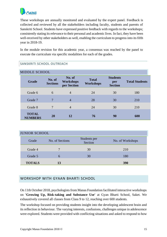

These workshops are annually monitored and evaluated by the expert panel. Feedback is collected and reviewed by all the stakeholders including faculty, students and parents of Sanskriti School. Students have expressed positive feedback with regards to the workshops; consistently stating its relevance to their personal and academic lives. In fact, they have been well-received by other stakeholders as well, enabling the curriculum to progress into its fifth year in 2018-19.

In the module revision for this academic year, a consensus was reached by the panel to execute the curriculum via specific modalities for each of the grades.

#### <span id="page-15-0"></span>SANSKRITI SCHOOL OUTREACH

<span id="page-15-1"></span>

| <b>MIDDLE SCHOOL</b>           |                           |                                           |                                  |                                          |                       |  |  |
|--------------------------------|---------------------------|-------------------------------------------|----------------------------------|------------------------------------------|-----------------------|--|--|
| Grade                          | No. of<br><b>Sections</b> | No. of<br><b>Workshops</b><br>per Section | <b>Total</b><br><b>Workshops</b> | <b>Students</b><br>per<br><b>Section</b> | <b>Total Students</b> |  |  |
| Grade 6                        | 6                         | $\overline{4}$                            | 24                               | 30                                       | 180                   |  |  |
| Grade 7                        | 7                         | $\overline{4}$                            | 28                               | 30                                       | 210                   |  |  |
| Grade 8                        | 7                         | $\overline{4}$                            | 24                               | 30                                       | 210                   |  |  |
| <b>TOTAL</b><br><b>NUMBERS</b> | <b>20</b>                 | 12                                        | 76                               | 90                                       | 600                   |  |  |

<span id="page-15-2"></span>

| <b>JUNIOR SCHOOL</b> |                 |                         |                  |  |  |  |  |  |
|----------------------|-----------------|-------------------------|------------------|--|--|--|--|--|
| Grade                | No. of Sections | Students per<br>Section | No. of Workshops |  |  |  |  |  |
| Grade 4              |                 | 30                      | 210              |  |  |  |  |  |
| Grade 5              | 6               | 30                      | 180              |  |  |  |  |  |
| <b>TOTALS</b>        | 13              |                         | 390              |  |  |  |  |  |

### <span id="page-15-3"></span>WORKSHOP WITH GYAAN BHARTI SCHOOL

On 11th October 2018, psychologists from Manas Foundation facilitated interactive workshops on **'Growing Up, Risk-taking and Substance Use'** at Gyan Bharti School, Saket. We exhaustively covered all classes from Class 9 to 12, reaching over 600 students.

The workshop focused on providing students insight into the developing adolescent brain and its reflection in behaviour. The varying interests, confusions, challenges unique in adolescence were explored. Students were provided with conflicting situations and asked to respond to how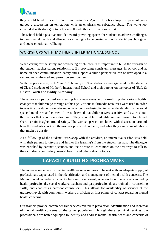

they would handle these different circumstances. Against this backdrop, the psychologists guided a discussion on temptation, with an emphasis on substance abuse. The workshop concluded with strategies to help oneself and others in situations of risk.

The school held a positive attitude toward providing spaces for students to address challenges to their mental health and allowed for a dialogue to be created around students' psychological and socio-emotional wellbeing.

#### <span id="page-16-0"></span>WORKSHOPS WITH MOTHER'S INTERNATIONAL SCHOOL

When caring for the safety and well-being of children, it is important to build the strength of the student-teacher-parent relationship. By providing consistent messages in school and at home on open communication, safety and support, a child's perspective can be developed in a secure, well-informed and proactive environment.

With this perspective, on  $16<sup>th</sup>$  and  $19<sup>th</sup>$  January 2019, workshops were organized for the students of Class 5 students of Mother's International School and their parents on the topics of '**Safe & Unsafe Touch and Bodily Autonomy'**.

These workshops focused on creating body awareness and normalizing the various bodily changes that children go through at this age. Various multimedia resources were used in order to sensitize the students on safe and unsafe touch and establishing an understanding of personal space, boundaries and consent. It was observed that children were sensitive and aware about the themes that were being discussed. They were able to identify safe and unsafe touch and share certain insights around safety. The workshop was concluded with discussions around how the students can keep themselves protected and safe, and what they can do in situations that might be unsafe.

As a follow-up of the students' workshop with the children, an interactive session was held with their parents to discuss and further the learning's from the student session. The dialogue was enriched by parents' questions and their desire to learn more on the best ways to talk to their children about safety, mental health, and other difficult topics.

## **CAPACITY BUILDING PROGRAMMES**

<span id="page-16-1"></span>The increase in demand of mental health services requires to be met with an adequate supply of professionals capacitated in the identification and management of mental health concerns. The Manas model includes a capacity building component, wherein frontline workers including health professionals, social workers, teachers and paraprofessionals are trained in counselling skills, and enabled as barefoot counsellors. This allows for availability of services at the grassroot level, with community workers proficient as first points-of-contact regarding mental health concerns.

Our trainers provide comprehensive services related to prevention, identification and redressal of mental health concerns of the target population. Through these technical services, the professionals are better equipped to identify and address mental health needs and concerns of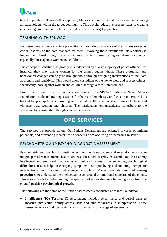

target populations. Through this approach, Manas also builds mental health awareness among all stakeholders within the target community. This psycho-educative process leads to creating an enabling environment for better mental health of the target population.

#### <span id="page-17-0"></span>TRAINING WITH SPUWAC

For custodians of the law, crime prevention and securing confidence of the citizens serves as critical aspects of the core mandate for them. Involving these institutional stakeholders is imperative to breakthrough social and cultural barriers domesticating and shaming violence, especially those against women and children.

The concept of sensitivity is grossly misunderstood by a large majority of police officers; for instance, they may blame women for the crimes against them. These attitudinal and behavioural changes can only be brought about through designing interventions to facilitate awareness and sensitivity. This would allow custodians of the law to view and process crimes, specifically those against women and children, through a safe, unbiased lens.

From time to time in the last one year, on request of the SPUWAC Malviya Nagar, Manas Foundation conducted training sessions for their staff members with focus on interview skills backed by principals of counseling and mental health when working cases of abuse and violence w.r.t women and children. The participants enthusiastically contribute to the workshop by sharing their thoughts and experiences.

## **OPD SERVICES**

<span id="page-17-1"></span>The services we provide at our Out-Patient Department are oriented towards optimizing potentials, and preventing mental health concerns from occurring or increasing in severity.

#### <span id="page-17-2"></span>PSYCHOMETRIC AND PSYCHO-DIAGNOSTIC ASSESSMENT

Psychometric and psycho-diagnostic assessments with outpatient and referral clients are an integral part of Manas' mental health services. These services play an essential role in assessing intellectual and emotional functioning and guide clinicians in understanding psychological difficulties. It also helps in clarifying symptoms, conceptualizing and initiating therapeutic interventions, and mapping out management plans. Manas uses **standardized testing procedures** to understand the intellectual, psychosocial or emotional concerns of the clients. This also extends to understanding the spectrum of issues that may be taking away from the clients' **positive psychological growth**.

The following are the some of the kinds of assessments conducted at Manas Foundation:

• **Intelligence (IQ) Testing**: IQ Assessment includes performance and verbal tasks to measure intellectual ability across tasks and culture-fairness in interpretation. These assessments are conducted using standardized tests for a range of age groups.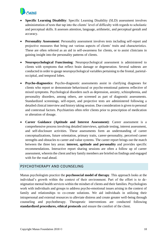

- **Specific Learning Disability**: Specific Learning Disability (SLD) assessment involves administration of tests that tap into the clients' level of difficulty with regards to scholastic and perceptual skills. It assesses attention, language, arithmetic, and perceptual gestalt and accuracy.
- **Personality Assessment**: Personality assessment involves tests including self-report and projective measures that bring out various aspects of clients' traits and characteristics. These are often referred as an aid in self-awareness for clients, or to assist clinicians in gaining insight into the personality patterns of clients.
- **Neuropsychological Functioning**: Neuropsychological assessment is administered to clients with symptoms that reflect brain damage or degeneration. Several subtests are conducted in order to gauge neuropsychological variables pertaining to the frontal, parietaloccipital, and temporal lobes.
- **Psycho-diagnostics**: Psycho-diagnostic assessments assist in clarifying diagnoses for clients who report or demonstrate behavioural or psycho-emotional patterns reflective of mixed symptoms. Psychological disorders such as depression, anxiety, schizophrenia, and personality disorders, among others, are screened as part of diagnostic assessments. Standardized screenings, self-report, and projective tests are administered following a detailed clinical interview and history taking session. Due consideration is given to personal and contextual factors. Psychiatrists often refer clients prior to prescription of medication or alteration of dosage.
- **Career Guidance (Aptitude and Interest Assessment)**: Career assessment is a comprehensive process involving detailed interviews, aptitude testing, interest assessment, and self-disclosure activities. These assessments form an understanding of career conceptualizations, future orientation, primary traits, career-personality, perceived career strengths and obstacles to career and value systems. The career report brings out the match between the three key areas: **interest, aptitude and personality** and provides specific recommendations. Interactive report sharing sessions are often a follow up of career assessment, wherein the client and key family members are briefed on findings and engaged with for the road ahead.

#### <span id="page-18-0"></span>PSYCHOTHERAPY AND COUNSELING

Manas psychologists practice the **psychosocial model of therapy**. This approach looks at the individual's growth within the context of their environment. Part of the effort is to destigmatize mental health services within the mindset of clients and their families. Psychologists work with individuals and groups to address psycho-emotional issues arising in the context of family and relationships to co-create solutions. We aid individuals in utilizing their intrapersonal and external resources to alleviate distress and create greater well-being through counseling and psychotherapy. Therapeutic interventions are conducted following **standardized procedures, ethical protocols** and ensure the comfort of the client.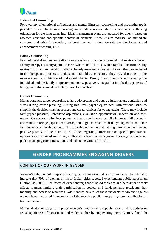

#### **Individual Counselling**

For a variety of emotional difficulties and mental illnesses, counselling and psychotherapy is provided to aid clients in addressing immediate concerns while inculcating a well-being orientation for the long term. Individual management plans are prepared for clients based on assessed concerns and specific contextual elements. These ensure redressal of immediate concerns and crisis-intervention, followed by goal-setting towards the development and enhancement of coping skills.

#### **Family Counselling**

Psychological disorders and difficulties are often a function of familial and relational issues. Family therapy is usually applied in cases where conflicts arise within families due to unhealthy relationship or communication patterns. Family members and/or significant others are included in the therapeutic process to understand and address concerns. They may also assist in the recovery and rehabilitation of individual clients. Family therapy aims at empowering the individual and the family in greater autonomy, positive reintegration into healthy patterns of living, and intrapersonal and interpersonal interactions.

#### **Career Counselling**

Manas conducts career counseling to help adolescents and young adults manage confusion and stress during career planning. During this time, psychologists deal with various issues to simplify the decision-making process and career choices for young adults. These may include family/peer pressure, unrealistic aspirations, evaluation apprehension, indecision and selfesteem. Career counseling incorporates a focus on self-awareness, like interests, abilities, traits and values to bridge gaps in these areas, and align expectations of the young adults and their families with achievable targets. This is carried out while maintaining a focus on the inherent positive potential of the individual. Guidance regarding information on specific professional options is also provided and young adults are made active managers in choosing suitable career paths, managing career transitions and balancing various life roles.

## **GENDER PROGRAMMES ENGAGING DRIVERS**

#### <span id="page-19-0"></span>CONTEXT OF OUR WORK IN GENDER

Women's safety in public spaces has long been a major social concern in the capital. Statistics indicate that 79% of women in major Indian cities reported experiencing public harassment (ActionAid, 2016). The threat of experiencing gender-based violence and harassment deeply affects women, limiting their participation in society and fundamentally restricting their mobility and access to resources. Additionally, several of these incidents of violence against women have transpired in every form of the massive public transport system including buses, taxis and autos.

Manas ideated on ways to improve women's mobility in the public sphere while addressing fears/experiences of harassment and violence, thereby empowering them. A study found the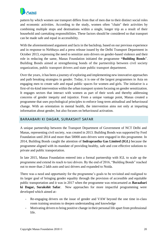

pattern by which women use transport differs from that of men due to their distinct social roles and economic activities. [According to the study,](http://www.stopstreetharassment.org/wp-content/uploads/2011/04/5-13-add-building-safe-inclusive-cities-for-women.pdf) women often "chain" their activities by combining multiple stops and destinations within a single, longer trip as a result of their household and caretaking responsibilities. These factors should be considered so that transport can be made safe and equal in accessibility.

With the aforementioned argument and facts in the backdrop, based on our previous experience and in response to Nirbhaya and a press release issued by the Delhi Transport Department in October 2013, expressing the need to sensitize auto drivers on gender-based violence and their role in reducing the same, Manas Foundation initiated the programme **"Building Bonds**". Building Bonds aimed at strengthening bonds of the partnership between civil society organization, public transport drivers and state public transport department.

Over the years, it has been a journey of exploring and implementing new innovative approaches and path breaking strategies in gender. Today, it is one of the largest programmes in Asia on engaging men to create safe and equal public spaces for women and girls. The initiative is a first-of-its-kind intervention within the urban transport system focusing on gender sensitization. It engages sectors that interact with women as part of their work and thereby addressing concerns of gender inequity and injustice. From a unique vantage point, Manas created a programme that uses psychological principles to enforce long-term attitudinal and behavioural change. With an orientation in mental health, the intervention aims not only at imparting information about gender, but also focuses on behavioural activation.

#### <span id="page-20-0"></span>BARAABARI KI DAGAR, SURAKSHIT SAFAR

A unique partnership between the Transport Department of Government of NCT Delhi and Manas, representing civil society, was created in 2013. Building Bonds was supported by Ford Foundation until 2014 and more than 50000 auto drivers were engaged in this programme. In 2014, Building Bonds caught the attention of **Indraprastha Gas Limited (IGL)** because the programme aligned with its mandate of providing healthy, safe and cost effective solutions to private and public transportation.

In late 2015, Manas Foundation entered into a formal partnership with IGL to scale up the programme and extend its reach to taxi drivers. By the end of 2016, "Building Bonds" reached out to more than 2 lakh auto and taxi drivers and expanded to Noida.

There was a need and opportunity for the programme's goals to be revisited and realigned to its larger goal of bringing gender equality through the provision of accessible and equitable public transportation and it was in 2017 when the programme was reincarnated as **Baraabari ki Dagar, Surakshit Safar**. New approaches for more impactful programming were developed which aimed at-

- Re-engaging drivers on the issue of gender and VAW beyond the one time in-class room training sessions to deepen understanding and knowledge
- Motivating drivers to bring positive change in their personal life apart from professional life.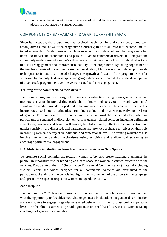

Public awareness initiatives on the issue of sexual harassment of women in public places to encourage by-stander actions.

#### <span id="page-21-0"></span>COMPONENTS OF BARAABARI KI DAGAR, SURAKSHIT SAFAR

Since its inception, the programme has received much acclaim and consistently rated well among drivers, indicative of the programme's efficacy; this has allowed it to become a multitiered intervention. With consistent acclaim received by all stakeholders, the programme has delved to impact the professional and personal lives of commercial drivers and integrate the community on the cause of women's safety. Several strategies have all been established as tools to foster reengagement and improve sustainability of the programme. By taking cognizance of the feedback received during monitoring and evaluation, Manas was able to develop innovate techniques to initiate deep-rooted change. The growth and scale of the programme can be witnessed by not only its demographic and geographical expansion but also in the development of diverse sub-programmes over the years, created to foster engagement.

#### **Training of the commercial vehicle drivers**

The training programme is designed to create a constructive dialogue on gender issues and promote a change in pre-existing patriarchal attitudes and behaviours towards women. A sensitization module was developed under the guidance of experts. The content of the module incorporates psychological principles, providing a unique and broader perspective to the issue of gender. For duration of two hours, an interactive workshop is conducted, wherein; participants are engaged in discussion on various gender-related concepts including definition, stereotypes, violence and laws. Furthermore, helpful attitudes, effective communication and gender sensitivity are discussed, and participants are provided a chance to reflect on their role in ensuring women's safety at an individual and professional level. The training workshops also involve interactive training mechanisms using activities and audio-visual screening to encourage participative engagement.

#### **IEC Material distribution to brand commercial vehicles as Safe Spaces**

To promote social commitment towards women safety and create awareness amongst the public, an innovative sticker branding as a safe space for women is carried forward with the vehicles. Post training, the IEC (Informative Educational Communication) material including stickers, letters and torans designed for all commercial vehicles are distributed to the participants. Branding of the vehicle highlights the involvement of the drivers in the campaign and spreads messages of respect to women and gender equality.

#### **24\*7 Helpline**

The helpline is a 24\*7 telephonic service for the commercial vehicle drivers to provide them with the opportunity to 'troubleshoot' challenges faces in situations on gender discrimination and seek advice to engage in gender-sensitized behaviours in their professional and personal lives. The helpline is aimed to provide guidance on need based services to women facing challenges of gender discrimination.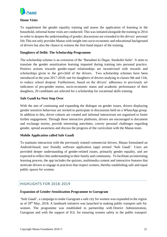

#### **Home Visits**

To supplement the gender equality training and assess the application of learning in the household, informal home visits are conducted. This was initiated alongside the training in 2014 in order to deepen the understanding of gender; discussions are extended to the drivers' personal life.This not only provides Manas with insight into socio-economic and educational background of drivers but also the chance to witness the first-hand impact of the training.

#### **Daughters of Delhi: The Scholarship Programme**

The scholarship scheme is an extension of the 'Baraabari ki Dagar, Surakshit Safar'. It aims to translate the gender sensitization learning imparted during training into personal practice. Positive actions towards gender-equal relationships are incentivized with rewards and scholarships given to the girl-child of the drivers. Two scholarship schemes have been introduced in the year 2017-2018; one for daughters of drivers studying in classes 9th and 11th, to reduce school dropout. Furthermore, based on the drivers' adherence to previously set indicators of pro-gender norms, socio-economic status and academic performance of their daughters, 20 candidates are selected for a scholarship for vocational skills training.

#### **Safe Gaadi ka Next Stop Over**

With the aim of continuing and expanding the dialogue on gender issues, drivers displaying gender sensitive behaviour are invited to participate in discussions held on a WhatsApp group. In addition to this, driver cohorts are created and informal interactions are organized to foster further engagement. Through these interactive platforms, drivers are encouraged to document and exchange stories, provide interesting anecdotes, convey personal challenges regarding gender, spread awareness and discuss the progress of the curriculum with the Manas team.

#### **Mobile Application called Safe Gaadi**

To maintain interaction with the previously trained commercial drivers, Manas formulated an Android-based; user friendly software application (app) termed 'Safe Gaadi'. Users are provided deeper understanding of gender-related issues, primarily gender equality, and are expected to reflect this understanding in their family and community. To facilitate an interesting learning process, the app includes the quizzes, multimedia content and interactive features that motivate drivers to engage in practices that respect women, thereby establishing safe and equal public spaces for women.

### <span id="page-22-0"></span>HIGHLIGHTS FOR 2018-2019

#### **Expansion of Gender-Sensitization Programme to Gurugram**

'Safe Gaadi', a campaign to make Gurugram a safe city for women was expanded to the region as of 29<sup>th</sup> May, 2018. A landmark initiative was launched in making public transport safe for women. The programme was established in partnership with District Administration, Gurugram and with the support of IGL for ensuring women safety in the public transport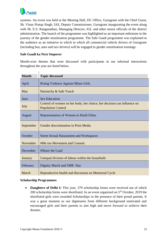

systems. An event was held at the Meeting Hall, DC Office, Gurugram with the Chief Guest, Sh. Vinay Pratap Singh, IAS, Deputy Commissioner, Gurugram inaugurating the event along with Sh. E.S. Ranganathan, Managing Director, IGL and other senior officials of the district administration. The launch of the programme was highlighted as an important milestone in the journey of the gender sensitisation programme. The Safe Gaadi programme was explained to the audience as an initiative in which in which all commercial vehicle drivers of Gurugram (including bus, auto and taxi drivers) will be engaged in gender sensitisation trainings.

#### **Safe Gaadi ka Next Stopover**

Month-wise themes that were discussed with participants in our informal interactions throughout the year are listed below.

| <b>Month</b> | <b>Topic discussed</b>                                                                               |
|--------------|------------------------------------------------------------------------------------------------------|
| April        | <b>Rising Violence Against Minor Girls</b>                                                           |
| May          | Patriarchy & Safe Touch                                                                              |
| June         | <b>Sex Education</b>                                                                                 |
| July         | Control of women on her body, her choice, her decision can influence on<br><b>Population Control</b> |
| August       | Representation of Women in Hindi Films                                                               |
| September    | Gender discrimination in Print Media                                                                 |
| October      | <b>Street Sexual Harassment and Workspaces</b>                                                       |
| November     | #Me too Movement and Consent                                                                         |
| December     | #Share the Load                                                                                      |
| January      | Unequal division of labour within the household                                                      |
| February     | Dignity March and OBR Day                                                                            |
| March        | Reproductive health and discussion on Menstrual Cycle                                                |

#### **Scholarship Programmes**

• **Daughters of Delhi I:** This year, 379 scholarship forms were received out of which 200 scholarship forms were shortlisted. In an event organized on  $5<sup>th</sup>$  October, 2019 the shortlisted girls were awarded Scholarships in the presence of their proud parents. It was a great moment as our dignitaries from different background motivated and encouraged girls and their parents to aim high and move forward to achieve their dreams.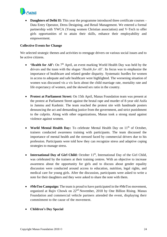

**Daughters of Delhi II:** This year the programme introduced three certificate courses – Data Entry Operator, Dress Designing, and Retail Management. We entered a formal partnership with YWCA (Young women Christian association) and V-Tech to offer girls opportunities of to attain their skills, enhance their employability and empowerment.

#### **Collective Events for Change**

We selected strategic themes and activities to reengage drivers on various social issues and to be active citizens.

- **'Health for All':** On  $7<sup>th</sup>$  April, an event marking World Health Day was held by the drivers and the team with the slogan '*Health for All'*. Its focus was to emphasize the importance of healthcare and related gender disparity. Systematic hurdles for women in access to adequate and safe healthcare were highlighted. The worsening situation of women was discussed vis a vis facts about the child marriage rate, mortality rate and life expectancy of women, and the skewed sex ratio in the country.
- **Protest at Parliament Street:** On 15th April, Manas Foundation team was present at the protest at Parliament Street against the brutal rape and murder of 8-year old Asifa in Jammu and Kashmir. The team reached the protest site with handmade posters denouncing the act and demanding justice from the government, and strict punishment to the culprits. Along with other organizations, Manas took a strong stand against violence against women.
- **World Mental Health Day:** To celebrate Mental Health Day on 11<sup>th</sup> of October, trainers conducted awareness training with participants. The team discussed the importance of mental health and the stressed faced by commercial drivers due to his profession. Participants were told how they can recognize stress and adaptive coping strategies to manage stress.
- International Day of Girl Child: October 11<sup>th</sup>, International Day of the Girl Child, was celebrated by the trainers at their training centres. With an objective to increase awareness about the opportunity for girls and to discuss about gender equality discussion were conducted around access to education, nutrition, legal rights, and medical care for young girls. After the discussion, participants were asked to write a note for their daughters and they were asked to share the note with them.
- **#MeToo Campaign:** The team is proud to have participated in the #MeToo movement, organized at Rajiv Chowk on 22nd November, 2018 by One Billion Rising. Manas Foundation and commercial vehicle partners attended the event, displaying their commitment to the cause of the movement.
- **Children's Day Special**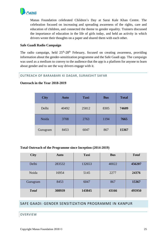

Manas Foundation celebrated Children's Day at Sarai Kale Khan Centre. The celebration focused on increasing and spreading awareness of the rights, care and education of children, and connected the theme to gender equality. Trainers discussed the importance of education in the life of girls today, and held an activity in which drivers wrote their thoughts on a paper and shared them with each other.

#### **Safe Gaadi Radio Campaign**

The radio campaign, held  $25<sup>th</sup>-28<sup>th</sup>$  February, focused on creating awareness, providing information about the gender-sensitization programme and the Safe Gaadi app. The campaign was used as a medium to convey to the audience that the app is a platform for anyone to learn about gender and to see the way drivers engage with it.

#### <span id="page-25-0"></span>OUTREACH OF BARAABARI KI DAGAR, SURAKSHIT SAFAR

| <b>City</b> | <b>Auto</b> | <b>Taxi</b> | <b>Bus</b> | <b>Total</b> |
|-------------|-------------|-------------|------------|--------------|
| Delhi       | 40492       | 25812       | 8305       | 74609        |
| Noida       | 3708        | 2763        | 1194       | 7665         |
| Gurugram    | 8453        | 6047        | 867        | 15367        |

#### **Outreach in the Year 2018-2019**

#### **Total Outreach of the Programme since Inception (2014-2019)**

| <b>City</b>  | <b>Auto</b> | <b>Taxi</b> | <b>Bus</b> | <b>Total</b> |
|--------------|-------------|-------------|------------|--------------|
| Delhi        | 283532      | 132653      | 40022      | 456207       |
| Noida        | 16954       | 5145        | 2277       | 24376        |
| Gurugram     | 8453        | 6047        | 867        | 15367        |
| <b>Total</b> | 308939      | 143845      | 43166      | 495950       |

#### <span id="page-25-1"></span>SAFE GAADI: GENDER SENSITIZATION PROGRAMME IN KANPUR

#### <span id="page-25-2"></span>**OVERVIEW**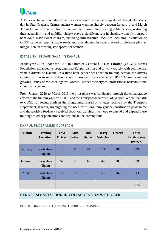

A Times of India report stated that on an average 8 women are raped and 30 abducted every day in Uttar Pradesh. Crimes against women went up sharply between January 1<sup>st</sup> and March 31st in UP in the year 2016-2017. Women feel unsafe in accessing public spaces, restricting their accessibility and mobility. Safety plays a significant role in shaping women's transport behaviour. Institutional changes, including infrastructural facilities including installation of CCTV cameras, approachable roads and amendments in laws preventing violence play an integral role in creating safe spaces for women.

#### <span id="page-26-0"></span>ESTABLISHING SAFE GAADI IN KANPUR

In the year 2019, under the CSR initiative of **Central UP Gas Limited (CUGL**), Manas Foundation expanded its programme to Kanpur district and to work closely with commercial vehicle drivers of Kanpur. In a three-hour gender sensitization training session the drivers coming for the renewal of license and fitness certificate classes at UPSRTC are trained on growing issues of violence against women, gender stereotypes, professional behaviour and stress management.

From January 2019 to March 2019 the pilot phase was conducted through the collaborative efforts of the funding agency, CUGL and the Transport department of Kanpur. We are thankful to CUGL for seeing merit in the programme. Based on a letter received by the Transport Department, Kanpur, highlighting the need for a long-term gender sensitization programme and the positive feedback received about our trainings, we hope to extend and expand these trainings to other populations and regions in the coming time.

| KANPUR PROGRAMIME OUTREACH |                             |                              |                              |                             |                                 |               |                                                |  |
|----------------------------|-----------------------------|------------------------------|------------------------------|-----------------------------|---------------------------------|---------------|------------------------------------------------|--|
| <b>Month</b>               | <b>Training</b><br>Location | <b>Taxi</b><br><b>Driver</b> | <b>Auto</b><br><b>Driver</b> | <b>Bus</b><br><b>Driver</b> | <b>Heavy</b><br><b>Vehicles</b> | <b>Others</b> | <b>Total</b><br><b>Participants</b><br>trained |  |
| January                    | Parivahan<br>Nigam          | 18                           | 81                           | 78                          | 111                             | 285           | 573                                            |  |
| February                   | Parivahan<br>Nigam          | 52                           | 11                           | 16                          | 44                              | 206           | 329                                            |  |
| March                      | Parivahan<br>Nigam          | 3                            | 72                           | 21                          | 50                              | 167           | 313                                            |  |
|                            |                             |                              |                              |                             |                                 |               | 1215                                           |  |

#### <span id="page-26-1"></span>KANPUR PROCRAMME OUTREACH

#### <span id="page-26-2"></span>GENDER SENSITIZATION IN COLLABORATION WITH UBER

<span id="page-26-3"></span>PUBLIC TRANSPORT TO PRIVATE PUBLIC TRANSPORT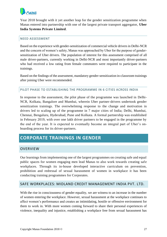

Year 2018 brought with it yet another leap for the gender sensitization programme when Manas entered into partnership with one of the largest private transport aggregator, **Uber India Systems Private Limited**.

#### <span id="page-27-0"></span>NEED ASSESSMENT

Based on the experience with gender-sensitization of commercial vehicle drivers in Delhi-NCR and the concern of women's safety, Manas was approached by Uber for the purpose of gendersensitization of Uber drivers. The population of interest for this assessment comprised of all male driver-partners, currently working in Delhi-NCR and most importantly driver-partners who had received a low rating from female commuters were required to participate in the trainings.

Based on the findings of the assessment, mandatory gender-sensitization in-classroom trainings after joining Uber were recommended.

#### <span id="page-27-1"></span>PILOT PHASE TO ESTABLISHING THE PROGRAMME IN 6 CITIES ACROSS INDIA

In response to the assessment, the pilot phase of the programme was launched in Delhi-NCR, Kolkata, Bangalore and Mumbai, wherein Uber partner-drivers undertook gender sensitization trainings. The overwhelming response to the change and motivation in drivers led to scaling up of the programme in 7 major cities of India; Delhi, Mumbai, Chennai, Bengaluru, Hyderabad, Pune and Kolkata. A formal partnership was established in February 2019, with over one lakh driver partners to be engaged in the programme by the end of the year. It is expected to eventually become an integral part of Uber's onboarding process for its driver-partners.

## <span id="page-27-2"></span>**CORPORATE TRAININGS IN GENDER**

#### <span id="page-27-3"></span>OVERVIEW

Our learnings from implementing one of the largest programmes on creating safe and equal public spaces for women engaging men lead Manas to also work towards creating safe workplaces. Through its in-house developed interactive curriculum on prevention, prohibition and redressal of sexual harassment of women in workplace it has been conducting training programmes for Corporates.

#### <span id="page-27-4"></span>SAFE WORKPLACES: MIDLAND CREDIT MANAGEMENT INDIA PVT. LTD.

With the rise in consciousness of gender equality, we are witness to an increase in the number of women entering the workplace. However, sexual harassment at the workplace continues to affect women's performance and creates an intimidating, hostile or offensive environment for them to work in. With more women coming forward to share their personal experiences of violence, inequality and injustice, establishing a workplace free from sexual harassment has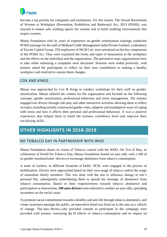

become a top priority for companies and institutions. For this reason, The Sexual Harassment of Women at Workplace (Prevention, Prohibition and Redressal) Act, 2013 (POSH), was enacted to ensure safe working spaces for women and to build enabling environments that respect women.

Manas Foundation with its years of experience on gender sensitization trainings conducted POSH trainings for the staff of Midland Credit Management India Private Limited, a subsidiary of Encore Capital Group. 250 employees of MCM Ltd. were sensitized on the key components of the POSH Act. They were explained the forms and types of harassment in the workplace and the effects on the individual and the organization. The preventive steps organizations have to take while redressing a complaint were discussed. Sessions were ended positively, with trainers asked the participants to reflect on their own contribution in making a healthy workplace and resolved to sustain these changes.

#### <span id="page-28-0"></span>COX AND KINGS

Manas was approached by Cox & Kings to conduct workshops for their staff on gendersensitization. Manas tailored the content for the organization and focused on the following concepts: gender sensitization, professional behaviour and stress management. The trainers engaged taxi drivers through role-play and other interactive activities allowing them to reflect on topics including socially constructed gender-roles, adaptive and maladaptive ways of coping with stress and how it affects their personal and professional behaviour. It was a positive experience that helped them to build the trainees confidence level and improve their socializing skills.

## <span id="page-28-1"></span>**OTHER HIGHLIGHTS IN 2018-2019**

#### <span id="page-28-2"></span>NO TOBACCO DAY IN PARTNERSHIP WITH WHO

Manas Foundation shares its vision of Tobacco control with the WHO. On 31st of May, in celebration of World No Tobacco Day, Manas Foundation hosted an auto rally with a 100 of its gender sensitized auto -drivers to encourage abstinence from tobacco consumption.

A team of trainers, in different locations of Delhi- NCR, were engaged in the process of mobilization. Drivers were approached based on their own usage of tobacco and/or the usage of immediate family members. This was done with the aim to influence change in one's personal life, subsequently emboldening them to spread the message of abstinence from tobacco consumption. Based on their responsiveness towards tobacco abstinence and participation in interactions, **100 auto-drivers** were selected to conduct an auto rally, spreading awareness on the social cause.

To promote social commitment towards a healthy and safe life through tobacco abstinence, and create awareness amongst the public, an innovative hood was fixed on to the auto as a vehicle of change. The auto–drivers**,** who provided consent to participate in the campaign were provided with posters, conveying the ill effects of tobacco consumption and its impact on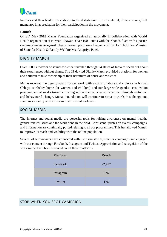

families and their health. In addition to the distribution of IEC material, drivers were gifted mementos in appreciation for their participation in the movement.

#### **Launch**

On 31<sup>st</sup> May 2018 Manas Foundation organized an auto-rally in collaboration with World Health organization at Nirman Bhawan. Over 100 - autos with their hoods fixed with a poster carrying a message against tobacco consumption were flagged - off by Hon'ble Union Minister of State for Health & Family Welfare Ms. Anupriya Patel.

#### <span id="page-29-0"></span>DIGNITY MARCH

Over 5000 survivors of sexual violence travelled through 24 states of India to speak out about their experiences without shame. The 65-day led Dignity March provided a platform for women and children to take ownership of their narratives of abuse and violence.

Manas received the dignity award for our work with victims of abuse and violence in Nirmal Chhaya (a shelter home for women and children) and our large-scale gender sensitization programme that works towards creating safe and equal spaces for women through attitudinal and behavioural change. Manas Foundation will continue to strive towards this change and stand in solidarity with all survivors of sexual violence.

#### <span id="page-29-1"></span>SOCIAL MEDIA

The internet and social media are powerful tools for raising awareness on mental health, gender-related issues and the work done in the field. Consistent updates on events, campaigns and information are continually posted relating to all our programmes. This has allowed Manas to improve its reach and visibility with the online population.

Several of our viewers have connected with us to run stories, smaller campaigns and engaged with our content through Facebook, Instagram and Twitter. Appreciation and recognition of the work we do have been received on all these platforms.

| <b>Platform</b> | <b>Reach</b> |
|-----------------|--------------|
| Facebook        | 22,417       |
| Instagram       | 376          |
| Twitter         | 176          |

#### <span id="page-29-2"></span>STOP WHEN YOU SPOT CAMPAIGN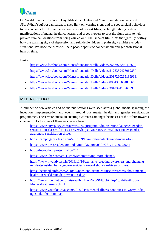

On World Suicide Prevention Day, Milestone Dentsu and Manas Foundation launched #StopWhenYouSpot campaign, to shed light on warning signs and to spot suicidal behaviour to prevent suicide. The campaign comprises of 3 short films, each highlighting certain manifestations of mental health concerns, and urges viewers to spot the signs early to help prevent suicidal ideations from being carried out. The 'slice of life' films thoughtfully portray how the warning signs of depression and suicide lie hidden in plain sight amidst everyday situations. We hope the films will help people spot suicidal behaviour and get professional help on time.

Links:

- <https://www.facebook.com/ManasfoundationDelhi/videos/264797221040369/>
- <https://www.facebook.com/ManasfoundationDelhi/videos/512535942506283/>
- <https://www.facebook.com/ManasfoundationDelhi/videos/2017260265195963/>
- <https://www.facebook.com/ManasfoundationDelhi/videos/880435565483068/>
- <https://www.facebook.com/ManasfoundationDelhi/videos/381039415768997/>

### <span id="page-30-0"></span>MEDIA COVERAGE

A number of new articles and online publications were seen across global media spanning the inception, implementation and events around our mental health and gender sensitization programmes. These were crucial in creating awareness amongst the masses of the efforts towards change. Links to some of these articles are listed.

- [https://www.cityspidey.com/news/6276/gurugram-administration-launches-gender](https://www.cityspidey.com/news/6276/gurugram-administration-launches-gender-sensitisation-classes-for-citys-drivers/)[sensitisation-classes-for-citys-drivers/](https://www.cityspidey.com/news/6276/gurugram-administration-launches-gender-sensitisation-classes-for-citys-drivers/)[https://yourstory.com/2018/11/uber-gender](https://yourstory.com/2018/11/uber-gender-awareness-sensitisation-driver)[awareness-sensitisation-driver](https://yourstory.com/2018/11/uber-gender-awareness-sensitisation-driver)
- <https://campaignbriefasia.com/2018/09/12/milestone-dentsu-and-manas-fou/>
- <https://www.pressreader.com/india/mid-day/20190307/281741270728641>
- <http://thegoodwillproject.in/?p=263>
- <https://www.uber.com/en-TR/newsroom/driving-more-change/>
- [https://www.inventiva.co.in/2018/11/14/exclusive-creating-awareness-and-changing](https://www.inventiva.co.in/2018/11/14/exclusive-creating-awareness-and-changing-mindsets-inside-ubers-gender-sensitisation-workshop-for-driver-partners/)[mindsets-inside-ubers-gender-sensitisation-workshop-for-driver-partners/](https://www.inventiva.co.in/2018/11/14/exclusive-creating-awareness-and-changing-mindsets-inside-ubers-gender-sensitisation-workshop-for-driver-partners/)
- [https://bestmediainfo.com/2018/09/ngos-and-agencies-raise-awareness-about-mental](https://bestmediainfo.com/2018/09/ngos-and-agencies-raise-awareness-about-mental-health-on-world-suicide-prevention-day/)[health-on-world-suicide-prevention-day/](https://bestmediainfo.com/2018/09/ngos-and-agencies-raise-awareness-about-mental-health-on-world-suicide-prevention-day/)
- [https://www.livemint.com/Leisure/dh4nHxciNcwSMt8QAHApCJ/Philanthropy-](https://www.livemint.com/Leisure/dh4nHxciNcwSMt8QAHApCJ/Philanthropy-Money-for-the-mind.html)[Money-for-the-mind.html](https://www.livemint.com/Leisure/dh4nHxciNcwSMt8QAHApCJ/Philanthropy-Money-for-the-mind.html)
- [https://www.youthkiawaaz.com/2018/04/as-mental-illness-continues-to-worry-india](https://www.youthkiawaaz.com/2018/04/as-mental-illness-continues-to-worry-india-ngos-take-the-initiative/)[ngos-take-the-initiative/](https://www.youthkiawaaz.com/2018/04/as-mental-illness-continues-to-worry-india-ngos-take-the-initiative/)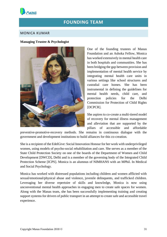<span id="page-31-0"></span>

## **FOUNDING TEAM**

#### <span id="page-31-1"></span>MONICA KUMAR

#### **Managing Trustee & Psychologist**



One of the founding trustees of Manas Foundation and an Ashoka Fellow, Monica has worked extensively in mental health care in both hospitals and communities. She has been bridging the gap between provision and implementation of mental health service by integrating mental health care units in various settings like school structures and custodial care homes. She has been instrumental in defining the guidelines for mental health needs, child care, and protection policies for the Delhi Commission for Protection of Child Rights [DCPCR].

She aspires to co-create a multi-tiered model of recovery for mental illness management and alleviation that are supported by the pillars of accessible and affordable

preventive-promotive-recovery methods. She remains in continuous dialogue with the government and development institutions to build alliances for this co-creation.

She is a recipient of the EdelGive: Social Innovation Honour for her work with underprivileged women, using models of psycho-social rehabilitation and care. She serves as a member of the State Child Protection Society on one of the boards of the Department of Women and Child Development [DWCD], Delhi and is a member of the governing body of the Integrated Child Protection Scheme [ICPS]. Monica is an alumnus of NIMHANS with an MPhil. In Medical and Social Psychology.

Monica has worked with distressed populations including children and women afflicted with sexual/emotional/physical abuse and violence, juvenile delinquents, and trafficked children. Leveraging her diverse repertoire of skills and knowledge, Monica is now using unconventional mental health approaches in engaging men to create safe spaces for women. Along with the Manas team, she has been successfully implementing training and creating support systems for drivers of public transport in an attempt to create safe and accessible travel experience.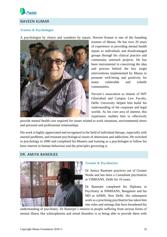

### <span id="page-32-0"></span>NAVEEN KUMAR

#### **Trustee & Psychologist**

A psychologist by choice and wanderer by nature, Naveen Kumar is one of the founding



trustees of Manas. He has over 20 years of experience in providing mental health inputs to individuals and disadvantaged groups through his clinical practice and community outreach projects. He has been instrumental in conceiving the idea and process behind the key target interventions implemented by Manas to promote well-being and positivity for many vulnerable and volatile communities.

Naveen's association as alumni of IMT Ghaziabad and Campus Law Faculty, Delhi University helped him build his understanding of the corporate and legal worlds. As his core area of interest, this experience enables him to effectively

provide mental health care required for issues related to work situations, environmental stress and personal and professional relationships.

His work is highly appreciated and recognised in the field of individual therapy, especially with marital problems, and resistant psychological issues of obsessions and addictions. He switched to psychology in 2000 and completed his Masters and training as a psychologist to follow his keen interest in human behaviour and the principles governing it.

#### <span id="page-32-1"></span>DR. AMIYA BANERJEE



#### **Trustee & Psychiatrist**

Dr Amiya Banerjee practices out of Greater Noida and has been a Consultant psychiatrist at VIMHANS, Delhi for 10 years.

Dr Banerjee completed his Diploma in Psychiatry at NIMHANS, Bangalore and his MD at AIIMS, New Delhi. His subsequent work as a practising psychiatrist has taken him into roles and settings that have broadened his

understanding of psychiatry. Dr Banerjee's interest in people suffering from serious forms of mental illness like schizophrenia and mood disorders is in being able to provide them with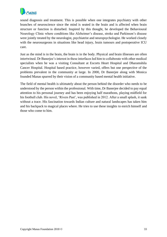

sound diagnosis and treatment. This is possible when one integrates psychiatry with other branches of neuroscience since the mind is seated in the brain and is affected when brain structure or function is disturbed. Inspired by this thought, he developed the Behavioural Neurology Clinic where conditions like Alzheimer's disease, stroke and Parkinson's disease were jointly treated by the neurologist, psychiatrist and neuropsychologist. He worked closely with the neurosurgeons in situations like head injury, brain tumours and postoperative ICU care.

Just as the mind is in the brain, the brain is in the body. Physical and brain illnesses are often intertwined. Dr Banerjee's interest in these interfaces led him to collaborate with other medical specialists when he was a visiting Consultant at Escorts Heart Hospital and Dharamshila Cancer Hospital. Hospital based practice, however varied, offers but one perspective of the problems prevalent in the community at large. In 2000, Dr Banerjee along with Monica founded Manas spurred by their vision of a community based mental health initiative.

The field of mental health is ultimately about the person behind the disorder who needs to be understood by the person within the professional. With time, Dr Banerjee decided to pay equal attention to his personal journey and has been enjoying half marathons, playing midfield for his football club. His novel, 'Rivers Past', was published in 2012. After a small splash, it sank without a trace. His fascination towards Indian culture and natural landscapes has taken him and his backpack to magical places where. He tries to use these insights to enrich himself and those who come to him.